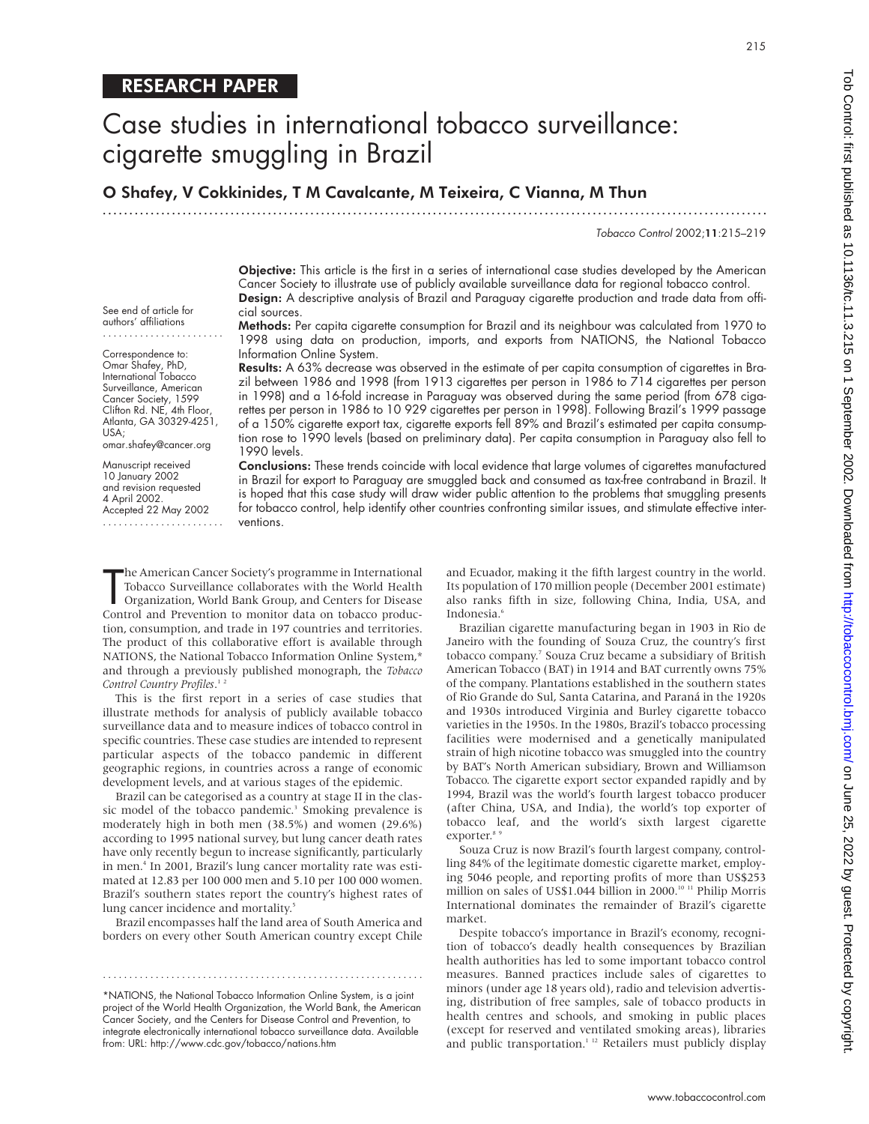See end of article for authors' affiliations

Correspondence to: Omar Shafey, PhD, International Tobacco Surveillance, American Cancer Society, 1599 Clifton Rd. NE, 4th Floor, Atlanta, GA 30329-4251,

omar.shafey@cancer.org Manuscript received 10 January 2002 and revision requested 4 April 2002. Accepted 22 May 2002 .......................

USA;

# Case studies in international tobacco surveillance: cigarette smuggling in Brazil

O Shafey, V Cokkinides, T M Cavalcante, M Teixeira, C Vianna, M Thun

.............................................................................................................................

Tobacco Control 2002;11:215–219

215

Objective: This article is the first in a series of international case studies developed by the American Cancer Society to illustrate use of publicly available surveillance data for regional tobacco control. Design: A descriptive analysis of Brazil and Paraguay cigarette production and trade data from official sources.

Methods: Per capita cigarette consumption for Brazil and its neighbour was calculated from 1970 to 1998 using data on production, imports, and exports from NATIONS, the National Tobacco Information Online System.

Results: A 63% decrease was observed in the estimate of per capita consumption of cigarettes in Brazil between 1986 and 1998 (from 1913 cigarettes per person in 1986 to 714 cigarettes per person in 1998) and a 16-fold increase in Paraguay was observed during the same period (from 678 cigarettes per person in 1986 to 10 929 cigarettes per person in 1998). Following Brazil's 1999 passage of a 150% cigarette export tax, cigarette exports fell 89% and Brazil's estimated per capita consumption rose to 1990 levels (based on preliminary data). Per capita consumption in Paraguay also fell to 1990 levels.

Conclusions: These trends coincide with local evidence that large volumes of cigarettes manufactured in Brazil for export to Paraguay are smuggled back and consumed as tax-free contraband in Brazil. It is hoped that this case study will draw wider public attention to the problems that smuggling presents for tobacco control, help identify other countries confronting similar issues, and stimulate effective interventions.

The American Cancer Society's programme in International<br>Tobacco Surveillance collaborates with the World Health<br>Organization, World Bank Group, and Centers for Disease<br>Control and Prevention to monitor data on tobacco pro he American Cancer Society's programme in International Tobacco Surveillance collaborates with the World Health Organization, World Bank Group, and Centers for Disease tion, consumption, and trade in 197 countries and territories. The product of this collaborative effort is available through NATIONS, the National Tobacco Information Online System,\* and through a previously published monograph, the *Tobacco Control Country Profiles*. 1 2

This is the first report in a series of case studies that illustrate methods for analysis of publicly available tobacco surveillance data and to measure indices of tobacco control in specific countries. These case studies are intended to represent particular aspects of the tobacco pandemic in different geographic regions, in countries across a range of economic development levels, and at various stages of the epidemic.

Brazil can be categorised as a country at stage II in the classic model of the tobacco pandemic.<sup>3</sup> Smoking prevalence is moderately high in both men (38.5%) and women (29.6%) according to 1995 national survey, but lung cancer death rates have only recently begun to increase significantly, particularly in men.4 In 2001, Brazil's lung cancer mortality rate was estimated at 12.83 per 100 000 men and 5.10 per 100 000 women. Brazil's southern states report the country's highest rates of lung cancer incidence and mortality.<sup>5</sup>

Brazil encompasses half the land area of South America and borders on every other South American country except Chile

\*NATIONS, the National Tobacco Information Online System, is a joint project of the World Health Organization, the World Bank, the American Cancer Society, and the Centers for Disease Control and Prevention, to integrate electronically international tobacco surveillance data. Available from: URL: http://www.cdc.gov/tobacco/nations.htm

.............................................................

and Ecuador, making it the fifth largest country in the world. Its population of 170 million people (December 2001 estimate) also ranks fifth in size, following China, India, USA, and Indonesia.<sup>6</sup>

Brazilian cigarette manufacturing began in 1903 in Rio de Janeiro with the founding of Souza Cruz, the country's first tobacco company.7 Souza Cruz became a subsidiary of British American Tobacco (BAT) in 1914 and BAT currently owns 75% of the company. Plantations established in the southern states of Rio Grande do Sul, Santa Catarina, and Paraná in the 1920s and 1930s introduced Virginia and Burley cigarette tobacco varieties in the 1950s. In the 1980s, Brazil's tobacco processing facilities were modernised and a genetically manipulated strain of high nicotine tobacco was smuggled into the country by BAT's North American subsidiary, Brown and Williamson Tobacco. The cigarette export sector expanded rapidly and by 1994, Brazil was the world's fourth largest tobacco producer (after China, USA, and India), the world's top exporter of tobacco leaf, and the world's sixth largest cigarette exporter.<sup>8</sup>

Souza Cruz is now Brazil's fourth largest company, controlling 84% of the legitimate domestic cigarette market, employing 5046 people, and reporting profits of more than US\$253 million on sales of US\$1.044 billion in 2000.10 11 Philip Morris International dominates the remainder of Brazil's cigarette market.

Despite tobacco's importance in Brazil's economy, recognition of tobacco's deadly health consequences by Brazilian health authorities has led to some important tobacco control measures. Banned practices include sales of cigarettes to minors (under age 18 years old), radio and television advertising, distribution of free samples, sale of tobacco products in health centres and schools, and smoking in public places (except for reserved and ventilated smoking areas), libraries and public transportation.<sup>1 12</sup> Retailers must publicly display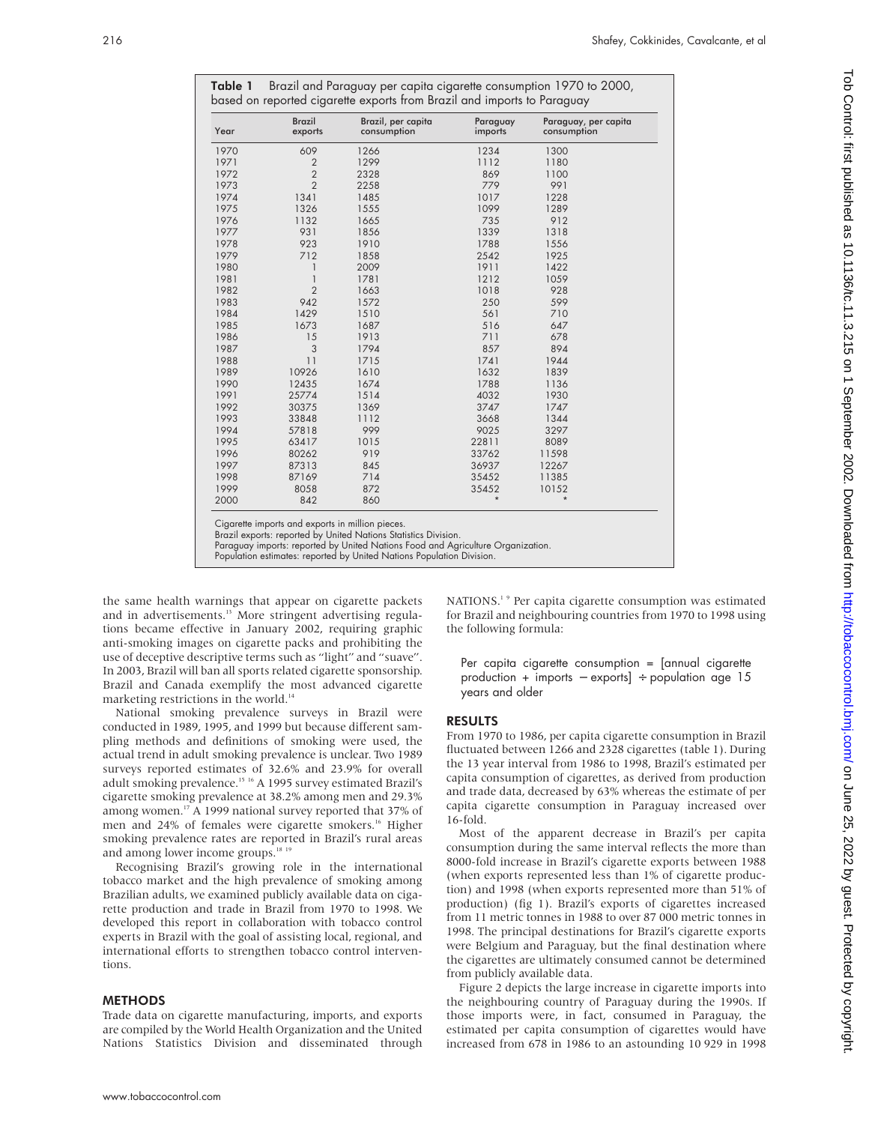| Table 1 Brazil and Paraguay per capita cigarette consumption 1970 to 2000, |
|----------------------------------------------------------------------------|
| based on reported cigarette exports from Brazil and imports to Paraguay    |

| Year | <b>Brazil</b><br>exports | Brazil, per capita<br>consumption | Paraguay<br>imports | Paraguay, per capita<br>consumption |
|------|--------------------------|-----------------------------------|---------------------|-------------------------------------|
| 1970 | 609                      | 1266                              | 1234                | 1300                                |
| 1971 | $\overline{2}$           | 1299                              | 1112                | 1180                                |
| 1972 | $\overline{2}$           | 2328                              | 869                 | 1100                                |
| 1973 | $\overline{2}$           | 2258                              | 779                 | 991                                 |
| 1974 | 1341                     | 1485                              | 1017                | 1228                                |
| 1975 | 1326                     | 1555                              | 1099                | 1289                                |
| 1976 | 1132                     | 1665                              | 735                 | 912                                 |
| 1977 | 931                      | 1856                              | 1339                | 1318                                |
| 1978 | 923                      | 1910                              | 1788                | 1556                                |
| 1979 | 712                      | 1858                              | 2542                | 1925                                |
| 1980 | 1                        | 2009                              | 1911                | 1422                                |
| 1981 | $\mathbf{1}$             | 1781                              | 1212                | 1059                                |
| 1982 | $\overline{2}$           | 1663                              | 1018                | 928                                 |
| 1983 | 942                      | 1572                              | 250                 | 599                                 |
| 1984 | 1429                     | 1510                              | 561                 | 710                                 |
| 1985 | 1673                     | 1687                              | 516                 | 647                                 |
| 1986 | 15                       | 1913                              | 711                 | 678                                 |
| 1987 | 3                        | 1794                              | 857                 | 894                                 |
| 1988 | 11                       | 1715                              | 1741                | 1944                                |
| 1989 | 10926                    | 1610                              | 1632                | 1839                                |
| 1990 | 12435                    | 1674                              | 1788                | 1136                                |
| 1991 | 25774                    | 1514                              | 4032                | 1930                                |
| 1992 | 30375                    | 1369                              | 3747                | 1747                                |
| 1993 | 33848                    | 1112                              | 3668                | 1344                                |
| 1994 | 57818                    | 999                               | 9025                | 3297                                |
| 1995 | 63417                    | 1015                              | 22811               | 8089                                |
| 1996 | 80262                    | 919                               | 33762               | 11598                               |
| 1997 | 87313                    | 845                               | 36937               | 12267                               |
| 1998 | 87169                    | 714                               | 35452               | 11385                               |
| 1999 | 8058                     | 872                               | 35452               | 10152                               |
| 2000 | 842                      | 860                               | $\star$             | $\star$                             |

Cigarette imports and exports in million pieces.

Brazil exports: reported by United Nations Statistics Division.

Paraguay imports: reported by United Nations Food and Agriculture Organization.

Population estimates: reported by United Nations Population Division.

the same health warnings that appear on cigarette packets and in advertisements.<sup>13</sup> More stringent advertising regulations became effective in January 2002, requiring graphic anti-smoking images on cigarette packs and prohibiting the use of deceptive descriptive terms such as "light" and "suave". In 2003, Brazil will ban all sports related cigarette sponsorship. Brazil and Canada exemplify the most advanced cigarette marketing restrictions in the world.<sup>14</sup>

National smoking prevalence surveys in Brazil were conducted in 1989, 1995, and 1999 but because different sampling methods and definitions of smoking were used, the actual trend in adult smoking prevalence is unclear. Two 1989 surveys reported estimates of 32.6% and 23.9% for overall adult smoking prevalence.15 16 A 1995 survey estimated Brazil's cigarette smoking prevalence at 38.2% among men and 29.3% among women.<sup>17</sup> A 1999 national survey reported that 37% of men and 24% of females were cigarette smokers.<sup>16</sup> Higher smoking prevalence rates are reported in Brazil's rural areas and among lower income groups.<sup>18</sup><sup>19</sup>

Recognising Brazil's growing role in the international tobacco market and the high prevalence of smoking among Brazilian adults, we examined publicly available data on cigarette production and trade in Brazil from 1970 to 1998. We developed this report in collaboration with tobacco control experts in Brazil with the goal of assisting local, regional, and international efforts to strengthen tobacco control interventions.

# **METHODS**

Trade data on cigarette manufacturing, imports, and exports are compiled by the World Health Organization and the United Nations Statistics Division and disseminated through NATIONS.<sup>19</sup> Per capita cigarette consumption was estimated for Brazil and neighbouring countries from 1970 to 1998 using the following formula:

Per capita cigarette consumption  $=$  [annual cigarette production + imports − exports] ÷ population age 15 years and older

#### RESULTS

From 1970 to 1986, per capita cigarette consumption in Brazil fluctuated between 1266 and 2328 cigarettes (table 1). During the 13 year interval from 1986 to 1998, Brazil's estimated per capita consumption of cigarettes, as derived from production and trade data, decreased by 63% whereas the estimate of per capita cigarette consumption in Paraguay increased over 16-fold.

Most of the apparent decrease in Brazil's per capita consumption during the same interval reflects the more than 8000-fold increase in Brazil's cigarette exports between 1988 (when exports represented less than 1% of cigarette production) and 1998 (when exports represented more than 51% of production) (fig 1). Brazil's exports of cigarettes increased from 11 metric tonnes in 1988 to over 87 000 metric tonnes in 1998. The principal destinations for Brazil's cigarette exports were Belgium and Paraguay, but the final destination where the cigarettes are ultimately consumed cannot be determined from publicly available data.

Figure 2 depicts the large increase in cigarette imports into the neighbouring country of Paraguay during the 1990s. If those imports were, in fact, consumed in Paraguay, the estimated per capita consumption of cigarettes would have increased from 678 in 1986 to an astounding 10 929 in 1998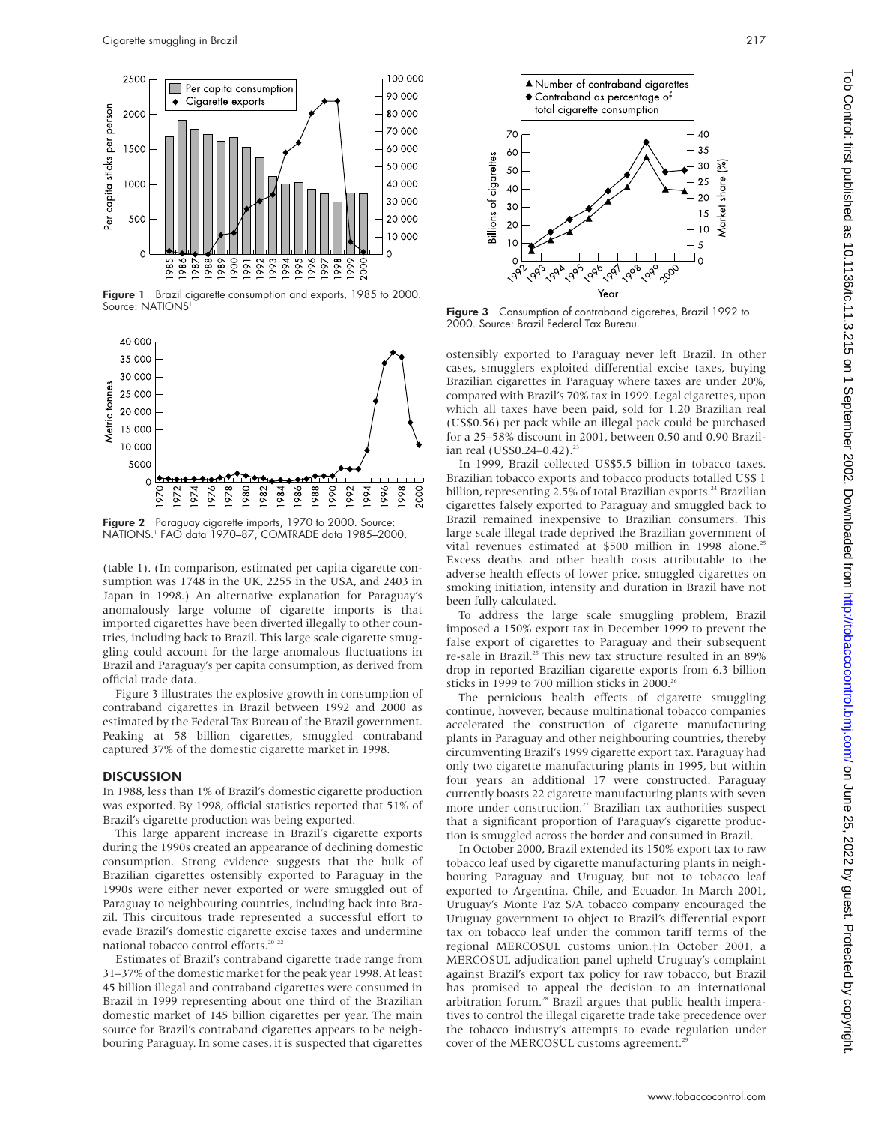

Figure 1 Brazil cigarette consumption and exports, 1985 to 2000. Source: NATIONS<sup>1</sup>



Figure 2 Paraguay cigarette imports, 1970 to 2000. Source: NATIONS.1 FAO data 1970–87, COMTRADE data 1985–2000.

(table 1). (In comparison, estimated per capita cigarette consumption was 1748 in the UK, 2255 in the USA, and 2403 in Japan in 1998.) An alternative explanation for Paraguay's anomalously large volume of cigarette imports is that imported cigarettes have been diverted illegally to other countries, including back to Brazil. This large scale cigarette smuggling could account for the large anomalous fluctuations in Brazil and Paraguay's per capita consumption, as derived from official trade data.

Figure 3 illustrates the explosive growth in consumption of contraband cigarettes in Brazil between 1992 and 2000 as estimated by the Federal Tax Bureau of the Brazil government. Peaking at 58 billion cigarettes, smuggled contraband captured 37% of the domestic cigarette market in 1998.

#### **DISCUSSION**

In 1988, less than 1% of Brazil's domestic cigarette production was exported. By 1998, official statistics reported that 51% of Brazil's cigarette production was being exported.

This large apparent increase in Brazil's cigarette exports during the 1990s created an appearance of declining domestic consumption. Strong evidence suggests that the bulk of Brazilian cigarettes ostensibly exported to Paraguay in the 1990s were either never exported or were smuggled out of Paraguay to neighbouring countries, including back into Brazil. This circuitous trade represented a successful effort to evade Brazil's domestic cigarette excise taxes and undermine national tobacco control efforts.<sup>20</sup> <sup>2</sup>

Estimates of Brazil's contraband cigarette trade range from 31–37% of the domestic market for the peak year 1998. At least 45 billion illegal and contraband cigarettes were consumed in Brazil in 1999 representing about one third of the Brazilian domestic market of 145 billion cigarettes per year. The main source for Brazil's contraband cigarettes appears to be neighbouring Paraguay. In some cases, it is suspected that cigarettes



Figure 3 Consumption of contraband cigarettes, Brazil 1992 to 2000. Source: Brazil Federal Tax Bureau.

ostensibly exported to Paraguay never left Brazil. In other cases, smugglers exploited differential excise taxes, buying Brazilian cigarettes in Paraguay where taxes are under 20%, compared with Brazil's 70% tax in 1999. Legal cigarettes, upon which all taxes have been paid, sold for 1.20 Brazilian real (US\$0.56) per pack while an illegal pack could be purchased for a 25–58% discount in 2001, between 0.50 and 0.90 Brazilian real (US\$0.24-0.42).<sup>23</sup>

In 1999, Brazil collected US\$5.5 billion in tobacco taxes. Brazilian tobacco exports and tobacco products totalled US\$ 1 billion, representing 2.5% of total Brazilian exports.<sup>24</sup> Brazilian cigarettes falsely exported to Paraguay and smuggled back to Brazil remained inexpensive to Brazilian consumers. This large scale illegal trade deprived the Brazilian government of vital revenues estimated at \$500 million in 1998 alone.<sup>25</sup> Excess deaths and other health costs attributable to the adverse health effects of lower price, smuggled cigarettes on smoking initiation, intensity and duration in Brazil have not been fully calculated.

To address the large scale smuggling problem, Brazil imposed a 150% export tax in December 1999 to prevent the false export of cigarettes to Paraguay and their subsequent re-sale in Brazil.<sup>25</sup> This new tax structure resulted in an 89% drop in reported Brazilian cigarette exports from 6.3 billion sticks in 1999 to 700 million sticks in 2000.<sup>26</sup>

The pernicious health effects of cigarette smuggling continue, however, because multinational tobacco companies accelerated the construction of cigarette manufacturing plants in Paraguay and other neighbouring countries, thereby circumventing Brazil's 1999 cigarette export tax. Paraguay had only two cigarette manufacturing plants in 1995, but within four years an additional 17 were constructed. Paraguay currently boasts 22 cigarette manufacturing plants with seven more under construction.<sup>27</sup> Brazilian tax authorities suspect that a significant proportion of Paraguay's cigarette production is smuggled across the border and consumed in Brazil.

In October 2000, Brazil extended its 150% export tax to raw tobacco leaf used by cigarette manufacturing plants in neighbouring Paraguay and Uruguay, but not to tobacco leaf exported to Argentina, Chile, and Ecuador. In March 2001, Uruguay's Monte Paz S/A tobacco company encouraged the Uruguay government to object to Brazil's differential export tax on tobacco leaf under the common tariff terms of the regional MERCOSUL customs union.†In October 2001, a MERCOSUL adjudication panel upheld Uruguay's complaint against Brazil's export tax policy for raw tobacco, but Brazil has promised to appeal the decision to an international arbitration forum.<sup>28</sup> Brazil argues that public health imperatives to control the illegal cigarette trade take precedence over the tobacco industry's attempts to evade regulation under cover of the MERCOSUL customs agreement.<sup>26</sup>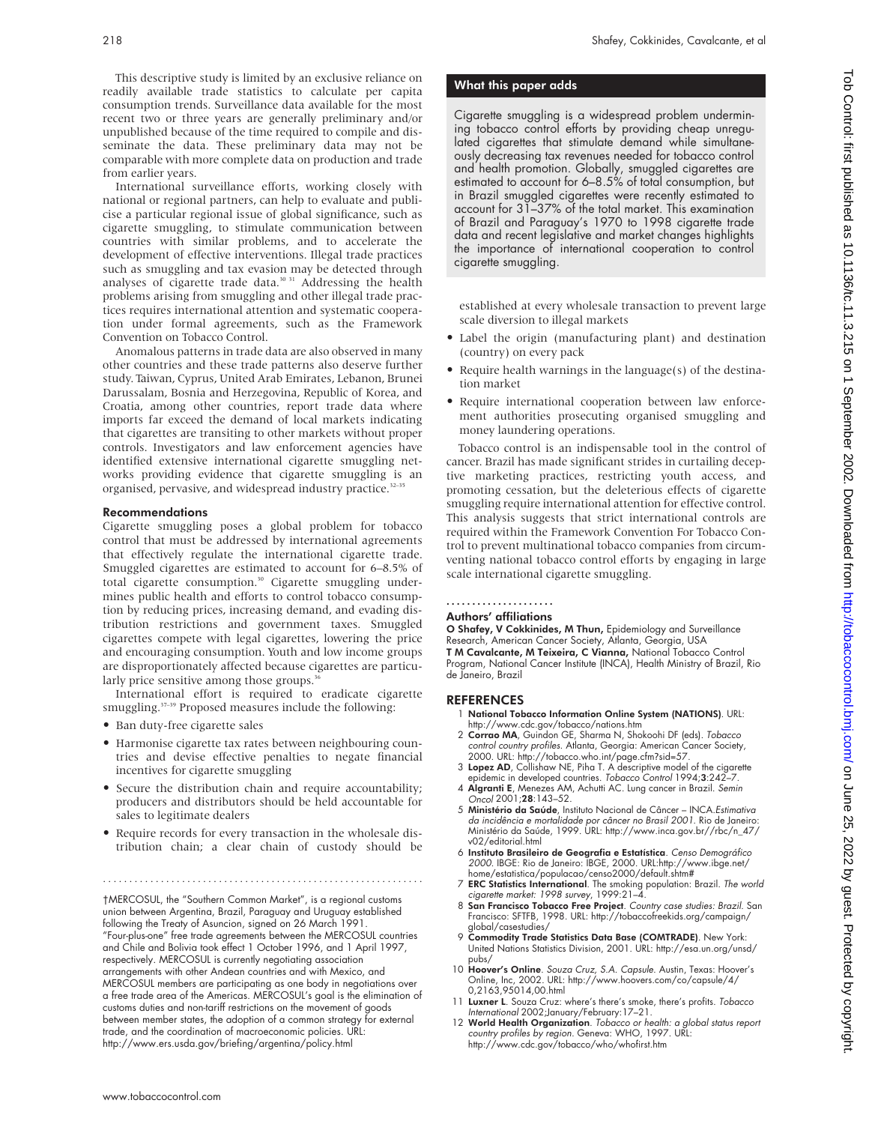This descriptive study is limited by an exclusive reliance on readily available trade statistics to calculate per capita consumption trends. Surveillance data available for the most recent two or three years are generally preliminary and/or unpublished because of the time required to compile and disseminate the data. These preliminary data may not be comparable with more complete data on production and trade from earlier years.

International surveillance efforts, working closely with national or regional partners, can help to evaluate and publicise a particular regional issue of global significance, such as cigarette smuggling, to stimulate communication between countries with similar problems, and to accelerate the development of effective interventions. Illegal trade practices such as smuggling and tax evasion may be detected through analyses of cigarette trade data.<sup>30 31</sup> Addressing the health problems arising from smuggling and other illegal trade practices requires international attention and systematic cooperation under formal agreements, such as the Framework Convention on Tobacco Control.

Anomalous patterns in trade data are also observed in many other countries and these trade patterns also deserve further study. Taiwan, Cyprus, United Arab Emirates, Lebanon, Brunei Darussalam, Bosnia and Herzegovina, Republic of Korea, and Croatia, among other countries, report trade data where imports far exceed the demand of local markets indicating that cigarettes are transiting to other markets without proper controls. Investigators and law enforcement agencies have identified extensive international cigarette smuggling networks providing evidence that cigarette smuggling is an organised, pervasive, and widespread industry practice.<sup>32-35</sup>

## Recommendations

Cigarette smuggling poses a global problem for tobacco control that must be addressed by international agreements that effectively regulate the international cigarette trade. Smuggled cigarettes are estimated to account for 6–8.5% of total cigarette consumption.<sup>30</sup> Cigarette smuggling undermines public health and efforts to control tobacco consumption by reducing prices, increasing demand, and evading distribution restrictions and government taxes. Smuggled cigarettes compete with legal cigarettes, lowering the price and encouraging consumption. Youth and low income groups are disproportionately affected because cigarettes are particularly price sensitive among those groups.<sup>3</sup>

International effort is required to eradicate cigarette smuggling.<sup>37-39</sup> Proposed measures include the following:

- Ban duty-free cigarette sales
- Harmonise cigarette tax rates between neighbouring countries and devise effective penalties to negate financial incentives for cigarette smuggling
- Secure the distribution chain and require accountability; producers and distributors should be held accountable for sales to legitimate dealers
- Require records for every transaction in the wholesale distribution chain; a clear chain of custody should be

.............................................................

†MERCOSUL, the "Southern Common Market", is a regional customs union between Argentina, Brazil, Paraguay and Uruguay established following the Treaty of Asuncion, signed on 26 March 1991. "Four-plus-one" free trade agreements between the MERCOSUL countries and Chile and Bolivia took effect 1 October 1996, and 1 April 1997, respectively. MERCOSUL is currently negotiating association arrangements with other Andean countries and with Mexico, and MERCOSUL members are participating as one body in negotiations over a free trade area of the Americas. MERCOSUL's goal is the elimination of customs duties and non-tariff restrictions on the movement of goods between member states, the adoption of a common strategy for external trade, and the coordination of macroeconomic policies. URL: http://www.ers.usda.gov/briefing/argentina/policy.html

#### What this paper adds

Cigarette smuggling is a widespread problem undermining tobacco control efforts by providing cheap unregulated cigarettes that stimulate demand while simultaneously decreasing tax revenues needed for tobacco control and health promotion. Globally, smuggled cigarettes are estimated to account for 6–8.5% of total consumption, but in Brazil smuggled cigarettes were recently estimated to account for 31–37% of the total market. This examination of Brazil and Paraguay's 1970 to 1998 cigarette trade data and recent legislative and market changes highlights the importance of international cooperation to control cigarette smuggling.

established at every wholesale transaction to prevent large scale diversion to illegal markets

- Label the origin (manufacturing plant) and destination (country) on every pack
- Require health warnings in the language(s) of the destination market
- Require international cooperation between law enforcement authorities prosecuting organised smuggling and money laundering operations.

Tobacco control is an indispensable tool in the control of cancer. Brazil has made significant strides in curtailing deceptive marketing practices, restricting youth access, and promoting cessation, but the deleterious effects of cigarette smuggling require international attention for effective control. This analysis suggests that strict international controls are required within the Framework Convention For Tobacco Control to prevent multinational tobacco companies from circumventing national tobacco control efforts by engaging in large scale international cigarette smuggling.

# .....................

## Authors' affiliations

O Shafey, V Cokkinides, M Thun, Epidemiology and Surveillance Research, American Cancer Society, Atlanta, Georgia, USA T M Cavalcante, M Teixeira, C Vianna, National Tobacco Control Program, National Cancer Institute (INCA), Health Ministry of Brazil, Rio de Janeiro, Brazil

## REFERENCES

- 1 National Tobacco Information Online System (NATIONS). URL:
- http://www.cdc.gov/tobacco/nations.htm 2 Corrao MA, Guindon GE, Sharma N, Shokoohi DF (eds). Tobacco control country profiles. Atlanta, Georgia: American Cancer Society, 2000. URL: http://tobacco.who.int/page.cfm?sid=57.
- 3 Lopez AD, Collishaw NE, Piha T. A descriptive model of the cigarette epidemic in developed countries. Tobacco Control 1994;3:242–7.
- 4 Algranti E, Menezes AM, Achutti AC. Lung cancer in Brazil. Semin Oncol 2001;28:143–52.
- 5 Ministério da Saúde, Instituto Nacional de Câncer INCA.Estimativa da incidência <sup>e</sup> mortalidade por câncer no Brasil 2001. Rio de Janeiro: Ministério da Saúde, 1999. URL: http://www.inca.gov.br//rbc/n\_47/ v02/editorial.html
- 6 Instituto Brasileiro de Geografia e Estatística. Censo Demográfico 2000. IBGE: Rio de Janeiro: IBGE, 2000. URL:http://www.ibge.net/ home/estatistica/populacao/censo2000/default.shtm#
- 7 ERC Statistics International. The smoking population: Brazil. The world cigarette market: 1998 survey, 1999:21–4.
- 8 San Francisco Tobacco Free Project. Country case studies: Brazil. San Francisco: SFTFB, 1998. URL: http://tobaccofreekids.org/campaign/ global/casestudies/
- Commodity Trade Statistics Data Base (COMTRADE). New York: United Nations Statistics Division, 2001. URL: http://esa.un.org/unsd/ pubs/
- 10 Hoover's Online. Souza Cruz, S.A. Capsule. Austin, Texas: Hoover's Online, Inc, 2002. URL: http://www.hoovers.com/co/capsule/4/ 0,2163,95014,00.html
- 11 Luxner L. Souza Cruz: where's there's smoke, there's profits. Tobacco International 2002;January/February:17–21.
- 12 World Health Organization. Tobacco or health: a global status report country profiles by region. Geneva: WHO, 1997. URL: http://www.cdc.gov/tobacco/who/whofirst.htm